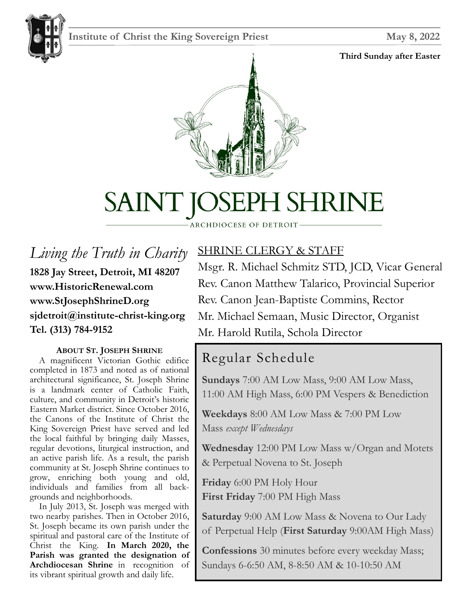#### **Institute of Christ the King Sovereign Priest May 8, 2022**

#### **Third Sunday after Easter**





## SAINT JOSEPH SHRINE

#### ARCHDIOCESE OF DETROIT

*Living the Truth in Charity* **1828 Jay Street, Detroit, MI 48207 www.HistoricRenewal.com www.StJosephShrineD.org sjdetroit@institute-christ-king.org Tel. (313) 784-9152**

#### **ABOUT ST. JOSEPH SHRINE**

 A magnificent Victorian Gothic edifice completed in 1873 and noted as of national architectural significance, St. Joseph Shrine is a landmark center of Catholic Faith, culture, and community in Detroit's historic Eastern Market district. Since October 2016, the Canons of the Institute of Christ the King Sovereign Priest have served and led the local faithful by bringing daily Masses, regular devotions, liturgical instruction, and an active parish life. As a result, the parish community at St. Joseph Shrine continues to grow, enriching both young and old, individuals and families from all backgrounds and neighborhoods.

 In July 2013, St. Joseph was merged with two nearby parishes. Then in October 2016, St. Joseph became its own parish under the spiritual and pastoral care of the Institute of Christ the King. **In March 2020, the Parish was granted the designation of Archdiocesan Shrine** in recognition of its vibrant spiritual growth and daily life.

#### SHRINE CLERGY & STAFF

Msgr. R. Michael Schmitz STD, JCD, Vicar General Rev. Canon Matthew Talarico, Provincial Superior Rev. Canon Jean-Baptiste Commins, Rector Mr. Michael Semaan, Music Director, Organist Mr. Harold Rutila, Schola Director

#### Regular Schedule

**Sundays** 7:00 AM Low Mass, 9:00 AM Low Mass, 11:00 AM High Mass, 6:00 PM Vespers & Benediction

**Weekdays** 8:00 AM Low Mass & 7:00 PM Low Mass *except Wednesdays*

**Wednesday** 12:00 PM Low Mass w/Organ and Motets & Perpetual Novena to St. Joseph

**Friday** 6:00 PM Holy Hour **First Friday** 7:00 PM High Mass

**Saturday** 9:00 AM Low Mass & Novena to Our Lady of Perpetual Help (**First Saturday** 9:00AM High Mass)

**Confessions** 30 minutes before every weekday Mass; Sundays 6-6:50 AM, 8-8:50 AM & 10-10:50 AM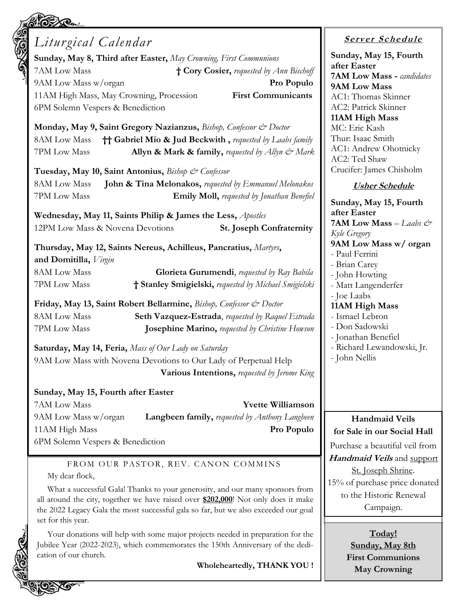| Liturgical Calendar                                                                                                                                                                                                                                                                  | Serv                                                                     |
|--------------------------------------------------------------------------------------------------------------------------------------------------------------------------------------------------------------------------------------------------------------------------------------|--------------------------------------------------------------------------|
| Sunday, May 8, Third after Easter, May Crowning, First Communions<br>7AM Low Mass<br>† Cory Cosier, requested by Ann Bischoff<br>Pro Populo<br>9AM Low Mass w/organ<br>11AM High Mass, May Crowning, Procession<br><b>First Communicants</b><br>6PM Solemn Vespers & Benediction     | Sunday, l<br>after East<br>7AM Lov<br>9AM Lov<br>AC1: Tho<br>AC2: Patr   |
| Monday, May 9, Saint Gregory Nazianzus, Bishop, Confessor & Doctor<br><b>†† Gabriel Mio &amp; Jud Beckwith, requested by Laabs family</b><br>8AM Low Mass<br>7PM Low Mass<br>Allyn & Mark & family, requested by Allyn & Mark<br>Tuesday, May 10, Saint Antonius, Bishop & Confessor | 11AM Hi<br>MC: Eric<br>Thur: Isaa<br>AC1: And<br>AC2: Ted<br>Crucifer: ] |
| John & Tina Melonakos, requested by Emmanuel Melonakos<br>8AM Low Mass                                                                                                                                                                                                               | $\mathit{Usl}$                                                           |
| 7PM Low Mass<br><b>Emily Moll, requested by Jonathan Benefiel</b><br>Wednesday, May 11, Saints Philip & James the Less, Apostles<br>12PM Low Mass & Novena Devotions<br><b>St. Joseph Confraternity</b>                                                                              | Sunday, l<br>after East<br>7AM Lov<br>Kyle Gregor                        |
| Thursday, May 12, Saints Nereus, Achilleus, Pancratius, Martyrs,<br>and Domitilla, Virgin                                                                                                                                                                                            | 9AM Lov<br>- Paul Fer<br>- Brian Ca                                      |
| 8AM Low Mass<br>Glorieta Gurumendi, requested by Ray Babila<br>† Stanley Smigielski, requested by Michael Smigielski<br>7PM Low Mass                                                                                                                                                 | - John Ho<br>- Matt Lar                                                  |
| Friday, May 13, Saint Robert Bellarmine, Bishop, Confessor & Doctor<br>8AM Low Mass                                                                                                                                                                                                  | - Joe Laab<br>11AM Hi                                                    |
| Seth Vazquez-Estrada, requested by Raquel Estrada<br>7PM Low Mass<br>Josephine Marino, requested by Christine Howson                                                                                                                                                                 | - Ismael L<br>- Don Sad<br>- Jonathar                                    |
| Saturday, May 14, Feria, Mass of Our Lady on Saturday<br>9AM Low Mass with Novena Devotions to Our Lady of Perpetual Help<br>Various Intentions, requested by Jerome King                                                                                                            | - Richard<br>- John Ne                                                   |
| Sunday, May 15, Fourth after Easter<br>7AM Low Mass<br><b>Yvette Williamson</b>                                                                                                                                                                                                      |                                                                          |
| 9AM Low Mass w/organ<br><b>Langbeen family, requested by Anthony Langbeen</b>                                                                                                                                                                                                        | Har                                                                      |
| 11AM High Mass<br>Pro Populo                                                                                                                                                                                                                                                         | for Sale i                                                               |
| 6PM Solemn Vespers & Benediction<br>FROM OUR PASTOR, REV. CANON COMMINS                                                                                                                                                                                                              | Purchase a<br>Handmai<br>$C_{+}$ T                                       |

My dear flock,

2 O XQ.

What a successful Gala! Thanks to your generosity, and our many sponsors from all around the city, together we have raised over **\$202,000**! Not only does it make the 2022 Legacy Gala the most successful gala so far, but we also exceeded our goal set for this year.

Your donations will help with some major projects needed in preparation for the Jubilee Year (2022-2023), which commemorates the 150th Anniversary of the dedication of our church.

**Wholeheartedly, THANK YOU !**

#### **<sup>S</sup> <sup>e</sup> rv er <sup>S</sup> <sup>c</sup> he du le**

**Sunday, May 15, Fourth**  ter **7AM Low Mass -** *candidates* **9AM Low Mass** mas Skinner ick Skinner **11AM High Mass** Kash uc Smith lrew Ohotnicky Shaw James Chisholm

#### **Usher Schedule**

**Sunday, May 15, Fourth**  ter **7AM Low Mass** *– Laabs & Kyle Gregory* **9AM Low Mass w/ organ** rini rey wting ngenderfer - Joe Laabs **11AM High Mass** .ebron lowski 1 Benefiel Lewandowski, Jr. llis<sup>.</sup>

#### **Handmaid Veils for Social Hall**

a beautiful veil from *id Veils* and support St. Joseph Shrine. 15% of purchase price donated to the Historic Renewal Campaign.

> **Today! Sunday, May 8th First Communions May Crowning**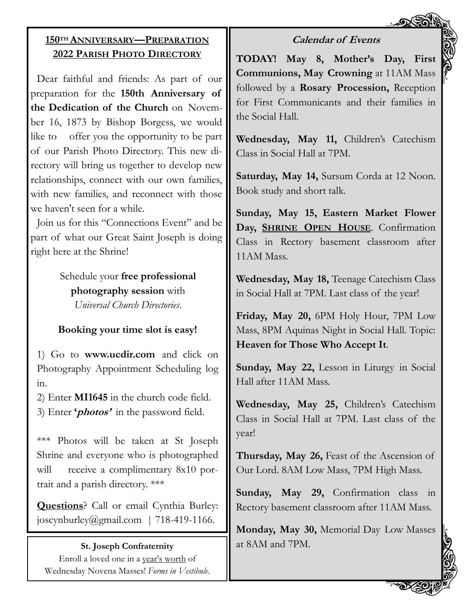#### **Calendar of Events**

#### **150TH ANNIVERSARY—PREPARATION 2022 PARISH PHOTO DIRECTORY**

Dear faithful and friends: As part of our preparation for the **150th Anniversary of the Dedication of the Church** on November 16, 1873 by Bishop Borgess, we would like to offer you the opportunity to be part of our Parish Photo Directory. This new directory will bring us together to develop new relationships, connect with our own families, with new families, and reconnect with those we haven't seen for a while.

Join us for this "Connections Event" and be part of what our Great Saint Joseph is doing right here at the Shrine!

> Schedule your **free professional photography session** with *Universal Church Directories*.

#### **Booking your time slot is easy!**

1) Go to **www.ucdir.com** and click on Photography Appointment Scheduling log in.

2) Enter **MI1645** in the church code field. 3) Enter **'photos'** in the password field.

\*\*\* Photos will be taken at St Joseph Shrine and everyone who is photographed will receive a complimentary 8x10 portrait and a parish directory. \*\*\*

**Questions**? Call or email Cynthia Burley: joscynburley@gmail.com | 718-419-1166.

#### **St. Joseph Confraternity**

Enroll a loved one in a year's worth of Wednesday Novena Masses! *Forms in Vestibule*. **TODAY! May 8, Mother's Day, First Communions, May Crowning** at 11AM Mass followed by a **Rosary Procession,** Reception for First Communicants and their families in the Social Hall.

**Wednesday, May 11,** Children's Catechism Class in Social Hall at 7PM.

**Saturday, May 14,** Sursum Corda at 12 Noon. Book study and short talk.

**Sunday, May 15, Eastern Market Flower Day, SHRINE OPEN HOUSE**. Confirmation Class in Rectory basement classroom after 11AM Mass.

**Wednesday, May 18,** Teenage Catechism Class in Social Hall at 7PM. Last class of the year!

**Friday, May 20,** 6PM Holy Hour, 7PM Low Mass, 8PM Aquinas Night in Social Hall. Topic: **Heaven for Those Who Accept It**.

**Sunday, May 22,** Lesson in Liturgy in Social Hall after 11AM Mass.

**Wednesday, May 25,** Children's Catechism Class in Social Hall at 7PM. Last class of the year!

**Thursday, May 26,** Feast of the Ascension of Our Lord. 8AM Low Mass, 7PM High Mass.

**Sunday, May 29,** Confirmation class in Rectory basement classroom after 11AM Mass.

**Monday, May 30,** Memorial Day Low Masses at 8AM and 7PM.